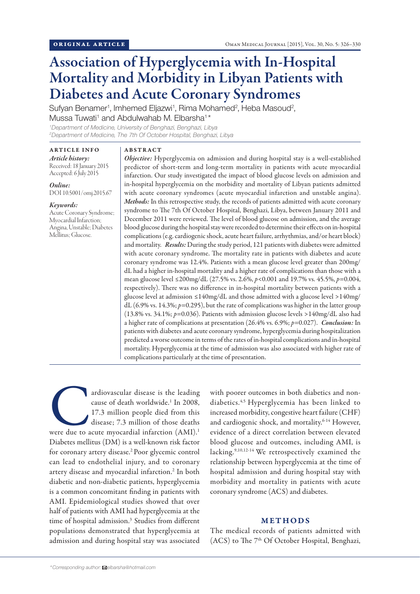# Association of Hyperglycemia with In-Hospital Mortality and Morbidity in Libyan Patients with Diabetes and Acute Coronary Syndromes

Sufyan Benamer<sup>1</sup>, Imhemed Eljazwi<sup>1</sup>, Rima Mohamed<sup>2</sup>, Heba Masoud<sup>2</sup>, Mussa Tuwati<sup>1</sup> and Abdulwahab M. Elbarsha<sup>1\*</sup>

*1 Department of Medicine, University of Benghazi, Benghazi, Libya 2 Department of Medicine, The 7th Of October Hospital, Benghazi, Libya*

## ARTICLE INFO

*Article history:*  Received: 18 January 2015 Accepted: 6 July 2015

*Online:* DOI 10.5001/omj.2015.67

#### *Keywords:*

Acute Coronary Syndrome; Myocardial Infarction; Angina, Unstable; Diabetes Mellitus; Glucose.

### ABSTRACT

*Objective:* Hyperglycemia on admission and during hospital stay is a well-established predictor of short-term and long-term mortality in patients with acute myocardial infarction. Our study investigated the impact of blood glucose levels on admission and in-hospital hyperglycemia on the morbidity and mortality of Libyan patients admitted with acute coronary syndromes (acute myocardial infarction and unstable angina). *Methods:* In this retrospective study, the records of patients admitted with acute coronary syndrome to The 7th Of October Hospital, Benghazi, Libya, between January 2011 and December 2011 were reviewed. The level of blood glucose on admission, and the average blood glucose during the hospital stay were recorded to determine their effects on in-hospital complications (e.g. cardiogenic shock, acute heart failure, arrhythmias, and/or heart block) and mortality. *Results:* During the study period, 121 patients with diabetes were admitted with acute coronary syndrome. The mortality rate in patients with diabetes and acute coronary syndrome was 12.4%. Patients with a mean glucose level greater than 200mg/ dL had a higher in-hospital mortality and a higher rate of complications than those with a mean glucose level ≤200mg/dL (27.5% vs. 2.6%, *p<*0.001 and 19.7% vs. 45.5%, *p=*0.004, respectively). There was no difference in in-hospital mortality between patients with a glucose level at admission ≤140mg/dL and those admitted with a glucose level >140mg/ dL (6.9% vs. 14.3%; *p=*0.295), but the rate of complications was higher in the latter group (13.8% vs. 34.1%; *p=*0.036). Patients with admission glucose levels >140mg/dL also had a higher rate of complications at presentation (26.4% vs. 6.9%; *p=*0.027). *Conclusion:* In patients with diabetes and acute coronary syndrome, hyperglycemia during hospitalization predicted a worse outcome in terms of the rates of in-hospital complications and in-hospital mortality. Hyperglycemia at the time of admission was also associated with higher rate of complications particularly at the time of presentation.

ardiovascular disease is the leading<br>
cause of death worldwide.<sup>1</sup> In 2008,<br>
17.3 million people died from this<br>
disease; 7.3 million of those deaths<br>
were due to acute myocardial infarction (AMI).<sup>1</sup> cause of death worldwide.<sup>1</sup> In 2008, 17.3 million people died from this disease; 7.3 million of those deaths Diabetes mellitus (DM) is a well-known risk factor for coronary artery disease.2 Poor glycemic control can lead to endothelial injury, and to coronary artery disease and myocardial infarction.<sup>2</sup> In both diabetic and non-diabetic patients, hyperglycemia is a common concomitant finding in patients with AMI. Epidemiological studies showed that over half of patients with AMI had hyperglycemia at the time of hospital admission.<sup>3</sup> Studies from different populations demonstrated that hyperglycemia at admission and during hospital stay was associated

with poorer outcomes in both diabetics and nondiabetics.4,5 Hyperglycemia has been linked to increased morbidity, congestive heart failure (CHF) and cardiogenic shock, and mortality.6-14 However, evidence of a direct correlation between elevated blood glucose and outcomes, including AMI, is lacking.9,10,12-14 We retrospectively examined the relationship between hyperglycemia at the time of hospital admission and during hospital stay with morbidity and mortality in patients with acute coronary syndrome (ACS) and diabetes.

## METHODS

The medical records of patients admitted with (ACS) to The 7<sup>th</sup> Of October Hospital, Benghazi,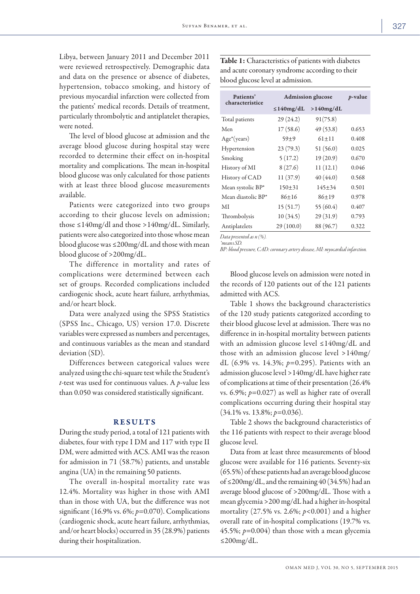Libya, between January 2011 and December 2011 were reviewed retrospectively. Demographic data and data on the presence or absence of diabetes, hypertension, tobacco smoking, and history of previous myocardial infarction were collected from the patients' medical records. Details of treatment, particularly thrombolytic and antiplatelet therapies, were noted.

The level of blood glucose at admission and the average blood glucose during hospital stay were recorded to determine their effect on in-hospital mortality and complications. The mean in-hospital blood glucose was only calculated for those patients with at least three blood glucose measurements available.

Patients were categorized into two groups according to their glucose levels on admission; those  $\leq$ 140mg/dl and those >140mg/dL. Similarly, patients were also categorized into those whose mean blood glucose was ≤200mg/dL and those with mean blood glucose of >200mg/dL.

The difference in mortality and rates of complications were determined between each set of groups. Recorded complications included cardiogenic shock, acute heart failure, arrhythmias, and/or heart block.

Data were analyzed using the SPSS Statistics (SPSS Inc., Chicago, US) version 17.0. Discrete variables were expressed as numbers and percentages, and continuous variables as the mean and standard deviation (SD).

Differences between categorical values were analyzed using the chi-square test while the Student's *t*-test was used for continuous values. A *p-*value less than 0.050 was considered statistically significant.

#### RESULTS

During the study period, a total of 121 patients with diabetes, four with type I DM and 117 with type II DM, were admitted with ACS. AMI was the reason for admission in 71 (58.7%) patients, and unstable angina (UA) in the remaining 50 patients.

The overall in-hospital mortality rate was 12.4%. Mortality was higher in those with AMI than in those with UA, but the difference was not significant (16.9% vs. 6%; *p*=0.070). Complications (cardiogenic shock, acute heart failure, arrhythmias, and/or heart blocks) occurred in 35 (28.9%) patients during their hospitalization.

Table 1: Characteristics of patients with diabetes and acute coronary syndrome according to their blood glucose level at admission.

| Patients'          | <b>Admission glucose</b> |              | $p$ -value |
|--------------------|--------------------------|--------------|------------|
| characteristice    | $\leq$ 140mg/dL          | $>140$ mg/dL |            |
| Total patients     | 29(24.2)                 | 91(75.8)     |            |
| Men                | 17(58.6)                 | 49(53.8)     | 0.653      |
| $Age*(years)$      | $59 + 9$                 | $61 + 11$    | 0.408      |
| Hypertension       | 23(79.3)                 | 51(56.0)     | 0.025      |
| Smoking            | 5(17.2)                  | 19(20.9)     | 0.670      |
| History of MI      | 8(27.6)                  | 11(12.1)     | 0.046      |
| History of CAD     | 11(37.9)                 | 40(44.0)     | 0.568      |
| Mean systolic BP*  | $150 + 31$               | $145 + 34$   | 0.501      |
| Mean diastolic BP* | $86+16$                  | $86+19$      | 0.978      |
| МI                 | 15(51.7)                 | 55 (60.4)    | 0.407      |
| Thrombolysis       | 10(34.5)                 | 29(31.9)     | 0.793      |
| Antiplatelets      | 29(100.0)                | 88 (96.7)    | 0.322      |

*Data presented as n (%). \*mean±SD.*

*BP: blood pressure, CAD: coronary artery disease, MI: myocardial infarction.*

Blood glucose levels on admission were noted in the records of 120 patients out of the 121 patients admitted with ACS.

Table 1 shows the background characteristics of the 120 study patients categorized according to their blood glucose level at admission. There was no difference in in-hospital mortality between patients with an admission glucose level ≤140mg/dL and those with an admission glucose level >140mg/ dL (6.9% vs. 14.3%; *p*=0.295). Patients with an admission glucose level >140mg/dL have higher rate of complications at time of their presentation (26.4% vs. 6.9%; *p*=0.027) as well as higher rate of overall complications occurring during their hospital stay (34.1% vs. 13.8%; *p*=0.036).

Table 2 shows the background characteristics of the 116 patients with respect to their average blood glucose level.

Data from at least three measurements of blood glucose were available for 116 patients. Seventy-six (65.5%) of these patients had an average blood glucose of ≤200mg/dL, and the remaining 40 (34.5%) had an average blood glucose of >200mg/dL. Those with a mean glycemia >200 mg/dL had a higher in-hospital mortality (27.5% vs. 2.6%; *p*<0.001) and a higher overall rate of in-hospital complications (19.7% vs. 45.5%;  $p=0.004$ ) than those with a mean glycemia ≤200mg/dL.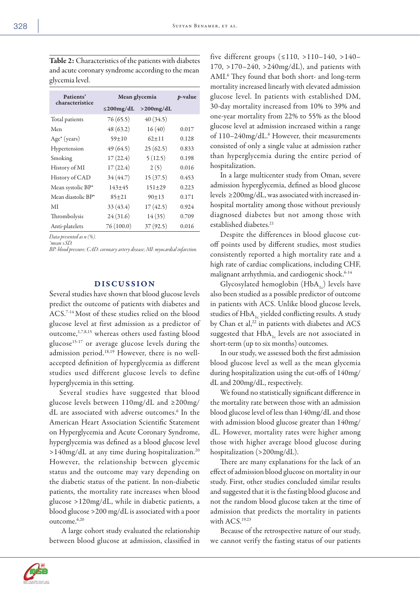| Table 2: Characteristics of the patients with diabetes |
|--------------------------------------------------------|
| and acute coronary syndrome according to the mean      |
| glycemia level.                                        |

| Patients'<br>characteristice | Mean glycemia   |               | <i>p</i> -value |
|------------------------------|-----------------|---------------|-----------------|
|                              | $\leq$ 200mg/dL | $>$ 200 mg/dL |                 |
| Total patients               | 76(65.5)        | 40(34.5)      |                 |
| Men                          | 48(63.2)        | 16(40)        | 0.017           |
| $Age^*(years)$               | $59 + 10$       | $62+11$       | 0.128           |
| Hypertension                 | 49 (64.5)       | 25(62.5)      | 0.833           |
| Smoking                      | 17(22.4)        | 5(12.5)       | 0.198           |
| History of MI                | 17(22.4)        | 2(5)          | 0.016           |
| History of CAD               | 34 (44.7)       | 15(37.5)      | 0.453           |
| Mean systolic BP*            | $143+45$        | $151 + 29$    | 0.223           |
| Mean diastolic BP*           | $85 + 21$       | $90 + 13$     | 0.171           |
| МI                           | 33(43.4)        | 17(42.5)      | 0.924           |
| Thrombolysis                 | 24(31.6)        | 14(35)        | 0.709           |
| Anti-platelets               | 76(100.0)       | 37(92.5)      | 0.016           |

*Data presented as n (%).*

*\*mean ±SD.* 

*BP: blood pressure; CAD: coronary artery disease; MI: myocardial infarction.*

# DISCUSSION

Several studies have shown that blood glucose levels predict the outcome of patients with diabetes and ACS.7-14 Most of these studies relied on the blood glucose level at first admission as a predictor of outcome,<sup>1,7,8,15</sup> whereas others used fasting blood glucose15-17 or average glucose levels during the admission period.18,19 However, there is no wellaccepted definition of hyperglycemia as different studies used different glucose levels to define hyperglycemia in this setting.

Several studies have suggested that blood glucose levels between 110mg/dL and ≥200mg/ dL are associated with adverse outcomes.<sup>6</sup> In the American Heart Association Scientific Statement on Hyperglycemia and Acute Coronary Syndrome, hyperglycemia was defined as a blood glucose level >140mg/dL at any time during hospitalization.20 However, the relationship between glycemic status and the outcome may vary depending on the diabetic status of the patient. In non-diabetic patients, the mortality rate increases when blood glucose >120mg/dL, while in diabetic patients, a blood glucose >200 mg/dL is associated with a poor outcome.6,20

 A large cohort study evaluated the relationship between blood glucose at admission, classified in five different groups (≤110, >110–140, >140– 170, >170–240, >240mg/dL), and patients with AMI.6 They found that both short- and long-term mortality increased linearly with elevated admission glucose level. In patients with established DM, 30-day mortality increased from 10% to 39% and one-year mortality from 22% to 55% as the blood glucose level at admission increased within a range of 110-240mg/dL.<sup>6</sup> However, their measurements consisted of only a single value at admission rather than hyperglycemia during the entire period of hospitalization.

In a large multicenter study from Oman, severe admission hyperglycemia, defined as blood glucose levels ≥200mg/dL, was associated with increased inhospital mortality among those without previously diagnosed diabetes but not among those with established diabetes.<sup>21</sup>

Despite the differences in blood glucose cutoff points used by different studies, most studies consistently reported a high mortality rate and a high rate of cardiac complications, including CHF, malignant arrhythmia, and cardiogenic shock.<sup>6-14</sup>

Glycosylated hemoglobin  $(HbA_{1c})$  levels have also been studied as a possible predictor of outcome in patients with ACS. Unlike blood glucose levels, studies of HbA<sub>1</sub> yielded conflicting results. A study by Chan et al, $22$  in patients with diabetes and ACS suggested that  $HbA_{1c}$  levels are not associated in short-term (up to six months) outcomes.

In our study, we assessed both the first admission blood glucose level as well as the mean glycemia during hospitalization using the cut-offs of 140mg/ dL and 200mg/dL, respectively.

We found no statistically significant difference in the mortality rate between those with an admission blood glucose level of less than 140mg/dL and those with admission blood glucose greater than 140mg/ dL. However, mortality rates were higher among those with higher average blood glucose during hospitalization (>200mg/dL).

There are many explanations for the lack of an effect of admission blood glucose on mortality in our study. First, other studies concluded similar results and suggested that it is the fasting blood glucose and not the random blood glucose taken at the time of admission that predicts the mortality in patients with ACS.<sup>19,23</sup>

Because of the retrospective nature of our study, we cannot verify the fasting status of our patients

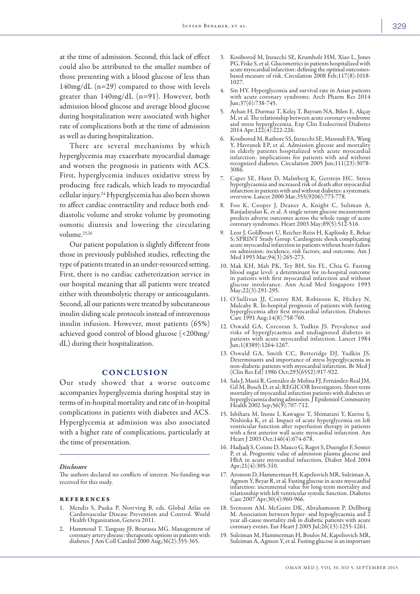at the time of admission. Second, this lack of effect could also be attributed to the smaller number of those presenting with a blood glucose of less than 140mg/dL (n=29) compared to those with levels greater than 140mg/dL (n=91). However, both admission blood glucose and average blood glucose during hospitalization were associated with higher rate of complications both at the time of admission as well as during hospitalization.

There are several mechanisms by which hyperglycemia may exacerbate myocardial damage and worsen the prognosis in patients with ACS. First, hyperglycemia induces oxidative stress by producing free radicals, which leads to myocardial cellular injury.24 Hyperglycemia has also been shown to affect cardiac contractility and reduce both enddiastolic volume and stroke volume by promoting osmotic diuresis and lowering the circulating volume.<sup>25,26</sup>

Our patient population is slightly different from those in previously published studies, reflecting the type of patients treated in an under-resourced setting. First, there is no cardiac catheterization service in our hospital meaning that all patients were treated either with thrombolytic therapy or anticoagulants. Second, all our patients were treated by subcutaneous insulin sliding scale protocols instead of intravenous insulin infusion. However, most patients (65%) achieved good control of blood glucose (<200mg/ dL) during their hospitalization.

### CONCLUSION

Our study showed that a worse outcome accompanies hyperglycemia during hospital stay in terms of in-hospital mortality and rate of in-hospital complications in patients with diabetes and ACS. Hyperglycemia at admission was also associated with a higher rate of complications, particularly at the time of presentation.

#### *Disclosure*

The authors declared no conflicts of interest. No funding was received for this study.

#### references

- 1. Mendis S, Puska P, Norrving B, eds. Global Atlas on Cardiovascular Disease Prevention and Control. World Health Organization, Geneva 2011.
- 2. Hammoud T, Tanguay JF, Bourassa MG. Management of coronary artery disease: therapeutic options in patients with diabetes. J Am Coll Cardiol 2000 Aug;36(2):355-365.
- 3. Kosiborod M, Inzucchi SE, Krumholz HM, Xiao L, Jones PG, Fiske S, et al. Glucometrics in patients hospitalized with acute myocardial infarction: defining the optimal outcomesbased measure of risk. Circulation 2008 Feb;117(8):1018- 1027.
- 4. Sin HY. Hyperglycemia and survival rate in Asian patients with acute coronary syndrome. Arch Pharm Res 2014 Jun;37(6):738-745.
- 5. Ayhan H, Durmaz T, Keleş T, Bayram NA, Bilen E, Akçay M, et al. The relationship between acute coronary syndrome and stress hyperglycemia. Exp Clin Endocrinol Diabetes 2014 Apr;122(4):222-226.
- 6. Kosiborod M, Rathore SS, Inzucchi SE, Masoudi FA, Wang Y, Havranek EP, et al. Admission glucose and mortality in elderly patients hospitalized with acute myocardial infarction: implications for patients with and without recognized diabetes. Circulation 2005 Jun;111(23):3078- 3086.
- 7. Capes SE, Hunt D, Malmberg K, Gerstein HC. Stress hyperglycaemia and increased risk of death after myocardial infarction in patients with and without diabetes: a systematic overview. Lancet 2000 Mar;355(9206):773-778.
- 8. Foo K, Cooper J, Deaner A, Knight C, Suliman A, Ranjadayalan K, et al. A single serum glucose measurement predicts adverse outcomes across the whole range of acute coronary syndromes. Heart 2003 May;89(5):512-516.
- 9. Leor J, Goldbourt U, Reicher-Reiss H, Kaplinsky E, Behar S; SPRINT Study Group. Cardiogenic shock complicating acute myocardial infarction in patients without heart failure on admission: incidence, risk factors, and outcome. Am J Med 1993 Mar;94(3):265-273.
- 10. Mak KH, Mah PK, Tey BH, Sin FL, Chia G. Fasting blood sugar level: a determinant for in-hospital outcome in patients with first myocardial infarction and without glucose intolerance. Ann Acad Med Singapore 1993 May;22(3):291-295.
- 11. O'Sullivan JJ, Conroy RM, Robinson K, Hickey N, Mulcahy R. In-hospital prognosis of patients with fasting hyperglycemia after first myocardial infarction. Diabetes Care 1991 Aug;14(8):758-760.
- 12. Oswald GA, Corcoran S, Yudkin JS. Prevalence and risks of hyperglycaemia and undiagnosed diabetes in patients with acute myocardial infarction. Lancet 1984 Jun;1(8389):1264-1267.
- 13. Oswald GA, Smith CC, Betteridge DJ, Yudkin JS. Determinants and importance of stress hyperglycaemia in non-diabetic patients with myocardial infarction. Br Med J (Clin Res Ed) 1986 Oct;293(6552):917-922.
- 14. Sala J, Masiá R, González de Molina FJ, Fernández-Real JM, Gil M, Bosch D, et al; REGICOR Investigators. Short-term mortality of myocardial infarction patients with diabetes or hyperglycaemia during admission. J Epidemiol Community Health 2002 Sep;56(9):707-712.
- 15. Ishihara M, Inoue I, Kawagoe T, Shimatani Y, Kurisu S, Nishioka K, et al. Impact of acute hyperglycemia on left ventricular function after reperfusion therapy in patients with a first anterior wall acute myocardial infarction. Am Heart J 2003 Oct; 146(4): 674-678.
- 16. Hadjadj S, Coisne D, Mauco G, Ragot S, Duengler F, Sosner P, et al. Prognostic value of admission plasma glucose and HbA in acute myocardial infarction. Diabet Med 2004 Apr;21(4):305-310.
- 17. Aronson D, Hammerman H, Kapeliovich MR, Suleiman A, Agmon Y, Beyar R, et al. Fasting glucose in acute myocardial infarction: incremental value for long-term mortality and relationship with left ventricular systolic function. Diabetes Care 2007 Apr;30(4):960-966.
- 18. Svensson AM, McGuire DK, Abrahamsson P, Dellborg M. Association between hyper- and hypoglycaemia and  $\tilde{2}$ year all-cause mortality risk in diabetic patients with acute coronary events. Eur Heart J 2005 Jul;26(13):1255-1261.
- 19. Suleiman M, Hammerman H, Boulos M, Kapeliovich MR, Suleiman A, Agmon Y, et al. Fasting glucose is an important